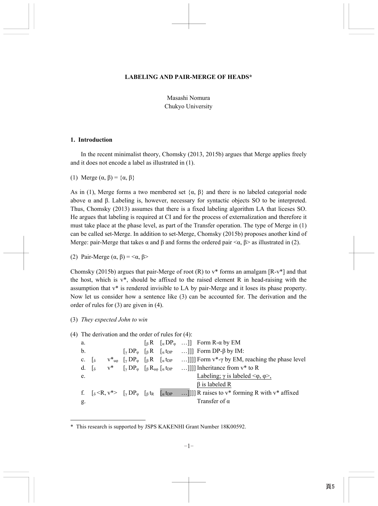#### **LABELING AND PAIR-MERGE OF HEADS\***

Masashi Nomura Chukyo University

### **1. Introduction**

In the recent minimalist theory, Chomsky (2013, 2015b) argues that Merge applies freely and it does not encode a label as illustrated in (1).

(1) Merge  $(\alpha, \beta) = {\alpha, \beta}$ 

As in (1), Merge forms a two membered set  $\{\alpha, \beta\}$  and there is no labeled categorial node above  $\alpha$  and  $\beta$ . Labeling is, however, necessary for syntactic objects SO to be interpreted. Thus, Chomsky (2013) assumes that there is a fixed labeling algorithm LA that liceses SO. He argues that labeling is required at CI and for the process of externalization and therefore it must take place at the phase level, as part of the Transfer operation. The type of Merge in (1) can be called set-Merge. In addition to set-Merge, Chomsky (2015b) proposes another kind of Merge: pair-Merge that takes  $\alpha$  and  $\beta$  and forms the ordered pair  $\langle \alpha, \beta \rangle$  as illustrated in (2).

(2) Pair-Merge  $(\alpha, \beta) = \langle \alpha, \beta \rangle$ 

Chomsky (2015b) argues that pair-Merge of root (R) to  $v^*$  forms an amalgam [R-v\*] and that the host, which is  $v^*$ , should be affixed to the raised element R in head-raising with the assumption that v\* is rendered invisible to LA by pair-Merge and it loses its phase property. Now let us consider how a sentence like (3) can be accounted for. The derivation and the order of rules for (3) are given in (4).

(3) *They expected John to win*

-

(4) The derivation and the order of rules for (4):

a.  $\begin{bmatrix} \beta R & \sqrt{Q} & \cdots \end{bmatrix}$  Form R- $\alpha$  by EM b.  $[\gamma \text{DP}_{\varphi} \quad [\beta \text{R} \quad [\alpha \text{t}_{\text{DP}} \quad \dots]]]$  Form DP- $\beta$  by IM: c.  $\begin{bmatrix} \delta & v^*_{u\omega} & \gamma D P_{\omega} & \beta R & \alpha \text{tpp} & \dots \end{bmatrix}$ ]] Form  $v^*$ -γ by EM, reaching the phase level d.  $\begin{bmatrix} 1 & 0 \end{bmatrix}$   $V^*$   $\begin{bmatrix} \gamma \ D P_{\varphi} \end{bmatrix}$   $\begin{bmatrix} \beta R_{\mu\varphi} \end{bmatrix}$   $\begin{bmatrix} \alpha \text{ t}_{DP} \end{bmatrix}$  ... ]]]] Inheritance from  $V^*$  to R e. Labeling;  $\gamma$  is labeled  $\langle \varphi, \varphi \rangle$ , β is labeled R f.  $\int_{\delta}$  <R, v\*>  $\int_{\gamma}$  DP<sub>\ppppppppppppppppppppp</sub> ...]]]] R raises to v\* forming R with v\* affixed g. Transfer of α

<sup>\*</sup> This research is supported by JSPS KAKENHI Grant Number 18K00592.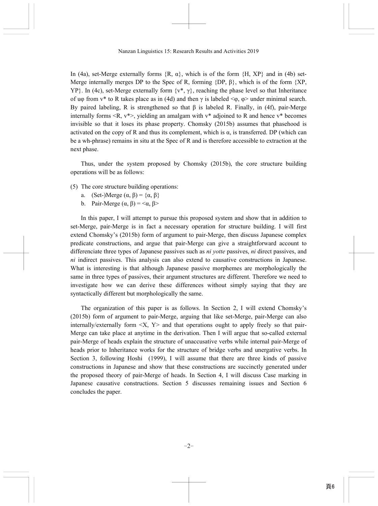In (4a), set-Merge externally forms  $\{R, \alpha\}$ , which is of the form  $\{H, XP\}$  and in (4b) set-Merge internally merges DP to the Spec of R, forming  $\{DP, \beta\}$ , which is of the form  $\{XP,$ YP}. In (4c), set-Merge externally form  $\{v^*, y\}$ , reaching the phase level so that Inheritance of uφ from  $v^*$  to R takes place as in (4d) and then  $\gamma$  is labeled  $\langle \varphi, \varphi \rangle$  under minimal search. By paired labeling, R is strengthened so that β is labeled R. Finally, in (4f), pair-Merge internally forms  $\langle R, v^* \rangle$ , yielding an amalgam with  $v^*$  adjoined to R and hence  $v^*$  becomes invisible so that it loses its phase property. Chomsky (2015b) assumes that phasehood is activated on the copy of R and thus its complement, which is  $\alpha$ , is transferred. DP (which can be a wh-phrase) remains in situ at the Spec of R and is therefore accessible to extraction at the next phase.

Thus, under the system proposed by Chomsky (2015b), the core structure building operations will be as follows:

- (5) The core structure building operations:
	- a. (Set-)Merge  $(\alpha, \beta) = {\alpha, \beta}$
	- b. Pair-Merge  $(α, β) = <α, β>$

In this paper, I will attempt to pursue this proposed system and show that in addition to set-Merge, pair-Merge is in fact a necessary operation for structure building. I will first extend Chomsky's (2015b) form of argument to pair-Merge, then discuss Japanese complex predicate constructions, and argue that pair-Merge can give a straightforward account to differenciate three types of Japanese passives such as *ni yotte* passives, *ni* direct passives, and *ni* indirect passives. This analysis can also extend to causative constructions in Japanese. What is interesting is that although Japanese passive morphemes are morphologically the same in three types of passives, their argument structures are different. Therefore we need to investigate how we can derive these differences without simply saying that they are syntactically different but morphologically the same.

The organization of this paper is as follows. In Section 2, I will extend Chomsky's (2015b) form of argument to pair-Merge, arguing that like set-Merge, pair-Merge can also internally/externally form  $\langle X, Y \rangle$  and that operations ought to apply freely so that pair-Merge can take place at anytime in the derivation. Then I will argue that so-called external pair-Merge of heads explain the structure of unaccusative verbs while internal pair-Merge of heads prior to Inheritance works for the structure of bridge verbs and unergative verbs. In Section 3, following Hoshi (1999), I will assume that there are three kinds of passive constructions in Japanese and show that these constructions are succinctly generated under the proposed theory of pair-Merge of heads. In Section 4, I will discuss Case marking in Japanese causative constructions. Section 5 discusses remaining issues and Section 6 concludes the paper.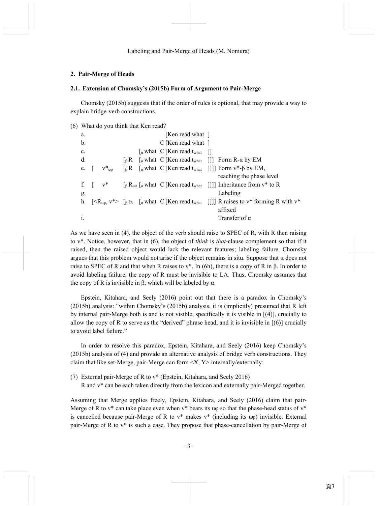# **2. Pair-Merge of Heads**

# **2.1. Extension of Chomsky's (2015b) Form of Argument to Pair-Merge**

Chomsky (2015b) suggests that if the order of rules is optional, that may provide a way to explain bridge-verb constructions.

```
(6) What do you think that Ken read?
```

| a.         |                                            |  | [Ken read what ]                                                                                                               |                                                                                                                                                    |
|------------|--------------------------------------------|--|--------------------------------------------------------------------------------------------------------------------------------|----------------------------------------------------------------------------------------------------------------------------------------------------|
| b.         |                                            |  | $C$ [Ken read what ]                                                                                                           |                                                                                                                                                    |
| c.         |                                            |  | $\lceil_{\alpha}$ what C [Ken read t <sub>what</sub> ]]                                                                        |                                                                                                                                                    |
| d.         |                                            |  | $\begin{bmatrix} \beta R & \begin{bmatrix} \alpha \end{bmatrix}$ what C [Ken read t <sub>what</sub> ]]] Form R- $\alpha$ by EM |                                                                                                                                                    |
| e.         | $V^*_{\phantom{*}}_{\phantom{*}}$ u $\phi$ |  |                                                                                                                                | $\lceil \beta R \rceil$ a what C [Ken read t <sub>what</sub> ]]]] Form v*- $\beta$ by EM,                                                          |
|            |                                            |  |                                                                                                                                | reaching the phase level                                                                                                                           |
| f. $\vert$ | $V^*$                                      |  |                                                                                                                                | $\lceil \beta R_{\mu\phi} \rceil_{\alpha}$ what C [Ken read t <sub>what</sub> ]]]] Inheritance from v <sup>*</sup> to R                            |
| g.         |                                            |  |                                                                                                                                | Labeling                                                                                                                                           |
|            |                                            |  |                                                                                                                                | h. $[\langle R_{u\varphi}, v^*\rangle]$ [ $\beta$ t <sub>R</sub> $\alpha$ what C [Ken read t <sub>what</sub> ]]]] R raises to v* forming R with v* |
|            |                                            |  |                                                                                                                                | affixed                                                                                                                                            |
|            |                                            |  |                                                                                                                                | Transfer of $\alpha$                                                                                                                               |

As we have seen in (4), the object of the verb should raise to SPEC of R, with R then raising to v\*. Notice, however, that in (6), the object of *think* is *that*-clause complement so that if it raised, then the raised object would lack the relevant features; labeling failure. Chomsky argues that this problem would not arise if the object remains in situ. Suppose that  $\alpha$  does not raise to SPEC of R and that when R raises to v\*. In (6h), there is a copy of R in β. In order to avoid labeling failure, the copy of R must be invisible to LA. Thus, Chomsky assumes that the copy of R is invisible in β, which will be labeled by  $α$ .

Epstein, Kitahara, and Seely (2016) point out that there is a paradox in Chomsky's (2015b) analysis: "within Chomsky's (2015b) analysis, it is (implicitly) presumed that R left by internal pair-Merge both is and is not visible, specifically it is visible in [(4)], crucially to allow the copy of R to serve as the "derived" phrase head, and it is invisible in  $[(6)]$  crucially to avoid label failure."

In order to resolve this paradox, Epstein, Kitahara, and Seely (2016) keep Chomsky's (2015b) analysis of (4) and provide an alternative analysis of bridge verb constructions. They claim that like set-Merge, pair-Merge can form  $\langle X, Y \rangle$  internally/externally:

(7) External pair-Merge of R to v\* (Epstein, Kitahara, and Seely 2016)

R and v\* can be each taken directly from the lexicon and externally pair-Merged together.

Assuming that Merge applies freely, Epstein, Kitahara, and Seely (2016) claim that pair-Merge of R to  $v^*$  can take place even when  $v^*$  bears its u $\varphi$  so that the phase-head status of  $v^*$ is cancelled because pair-Merge of R to  $v^*$  makes  $v^*$  (including its u $\varphi$ ) invisible. External pair-Merge of R to v\* is such a case. They propose that phase-cancellation by pair-Merge of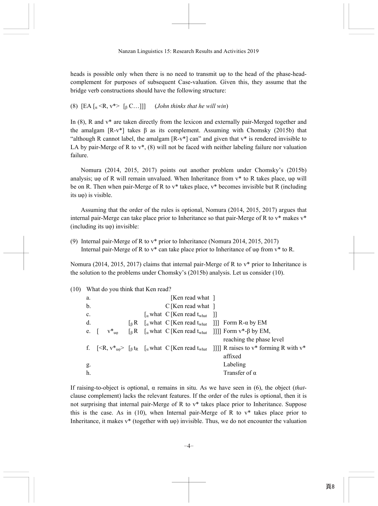heads is possible only when there is no need to transmit uφ to the head of the phase-headcomplement for purposes of subsequent Case-valuation. Given this, they assume that the bridge verb constructions should have the following structure:

(8)  $[EA]_a < R$ ,  $v^* > [B]_b C$ ...]]] (*John thinks that he will win*)

In (8), R and v\* are taken directly from the lexicon and externally pair-Merged together and the amalgam  $[R-v^*]$  takes  $\beta$  as its complement. Assuming with Chomsky (2015b) that "although R cannot label, the amalgam  $[R-v^*]$  can" and given that  $v^*$  is rendered invisible to LA by pair-Merge of R to  $v^*$ , (8) will not be faced with neither labeling failure nor valuation failure.

Nomura (2014, 2015, 2017) points out another problem under Chomsky's (2015b) analysis; uφ of R will remain unvalued. When Inheritance from  $v^*$  to R takes place, uφ will be on R. Then when pair-Merge of R to  $v^*$  takes place,  $v^*$  becomes invisible but R (including its uφ) is visible.

Assuming that the order of the rules is optional, Nomura (2014, 2015, 2017) argues that internal pair-Merge can take place prior to Inheritance so that pair-Merge of R to  $v^*$  makes  $v^*$ (including its uφ) invisible:

(9) Internal pair-Merge of R to v\* prior to Inheritance (Nomura 2014, 2015, 2017) Internal pair-Merge of R to v\* can take place prior to Inheritance of uφ from v\* to R.

Nomura (2014, 2015, 2017) claims that internal pair-Merge of R to v\* prior to Inheritance is the solution to the problems under Chomsky's (2015b) analysis. Let us consider (10).

|                | (10) What do you think that Ken read? |  |                                                                       |                                                                                                                                                     |
|----------------|---------------------------------------|--|-----------------------------------------------------------------------|-----------------------------------------------------------------------------------------------------------------------------------------------------|
| a.             |                                       |  | [Ken read what ]                                                      |                                                                                                                                                     |
| b.             |                                       |  | $C$ [Ken read what ]                                                  |                                                                                                                                                     |
| $\mathbf{c}$ . |                                       |  | $\left[\alpha \text{ what } C \right]$ [Ken read t <sub>what</sub> ]] |                                                                                                                                                     |
| d.             |                                       |  |                                                                       | $\begin{bmatrix} \beta R & \begin{bmatrix} \alpha \end{bmatrix}$ what C [Ken read t <sub>what</sub> ]]] Form R- $\alpha$ by EM                      |
| e.             |                                       |  |                                                                       | $v^*_{u\phi}$ [BR [a what C [Ken read t <sub>what</sub> ]]]] Form $v^*$ - $\beta$ by EM,                                                            |
|                |                                       |  |                                                                       | reaching the phase level                                                                                                                            |
|                |                                       |  |                                                                       | f. $[\langle R, v^*_{u\varphi} \rangle$ [ $\beta$ t <sub>R</sub> [ $\alpha$ what C[Ken read t <sub>what</sub> ]]]] R raises to v* forming R with v* |
|                |                                       |  |                                                                       | affixed                                                                                                                                             |
| g.             |                                       |  |                                                                       | Labeling                                                                                                                                            |
| h.             |                                       |  |                                                                       | Transfer of $\alpha$                                                                                                                                |

If raising-to-object is optional, α remains in situ. As we have seen in (6), the object (*that*clause complement) lacks the relevant features. If the order of the rules is optional, then it is not surprising that internal pair-Merge of R to v\* takes place prior to Inheritance. Suppose this is the case. As in  $(10)$ , when Internal pair-Merge of R to  $v^*$  takes place prior to Inheritance, it makes  $v^*$  (together with u $\varphi$ ) invisible. Thus, we do not encounter the valuation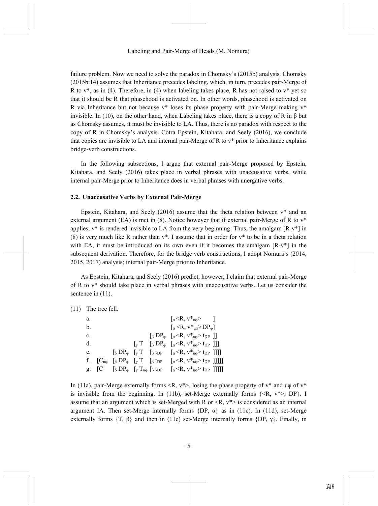failure problem. Now we need to solve the paradox in Chomsky's (2015b) analysis. Chomsky (2015b:14) assumes that Inheritance precedes labeling, which, in turn, precedes pair-Merge of R to  $v^*$ , as in (4). Therefore, in (4) when labeling takes place, R has not raised to  $v^*$  vet so that it should be R that phasehood is activated on. In other words, phasehood is activated on R via Inheritance but not because  $v^*$  loses its phase property with pair-Merge making  $v^*$ invisible. In (10), on the other hand, when Labeling takes place, there is a copy of R in  $\beta$  but as Chomsky assumes, it must be invisible to LA. Thus, there is no paradox with respect to the copy of R in Chomsky's analysis. Cotra Epstein, Kitahara, and Seely (2016), we conclude that copies are invisible to LA and internal pair-Merge of R to v\* prior to Inheritance explains bridge-verb constructions.

In the following subsections, I argue that external pair-Merge proposed by Epstein, Kitahara, and Seely (2016) takes place in verbal phrases with unaccusative verbs, while internal pair-Merge prior to Inheritance does in verbal phrases with unergative verbs.

### **2.2. Unaccusative Verbs by External Pair-Merge**

Epstein, Kitahara, and Seely (2016) assume that the theta relation between v\* and an external argument (EA) is met in (8). Notice however that if external pair-Merge of R to  $v^*$ applies,  $v^*$  is rendered invisible to LA from the very beginning. Thus, the amalgam  $[R-v^*]$  in (8) is very much like R rather than  $v^*$ . I assume that in order for  $v^*$  to be in a theta relation with EA, it must be introduced on its own even if it becomes the amalgam  $[R-v^*]$  in the subsequent derivation. Therefore, for the bridge verb constructions, I adopt Nomura's (2014, 2015, 2017) analysis; internal pair-Merge prior to Inheritance.

As Epstein, Kitahara, and Seely (2016) predict, however, I claim that external pair-Merge of R to v\* should take place in verbal phrases with unaccusative verbs. Let us consider the sentence in  $(11)$ .

(11) The tree fell.

| a.             |  |  | $\left[ \alpha \langle R, v^* \rangle \right]$                                                                                                                           |  |
|----------------|--|--|--------------------------------------------------------------------------------------------------------------------------------------------------------------------------|--|
| b.             |  |  | $\left[\alpha \leq R, v^*_{u0} > DP_{\varphi}\right]$                                                                                                                    |  |
| $\mathbf{c}$ . |  |  | $\left[\begin{array}{cc} \beta \text{ DP}_{\varphi} & \left[\begin{array}{c} \alpha \leq R, v^*_{\text{up}} > t_{\text{DP}} \end{array}\right] \end{array}\right]$       |  |
| d.             |  |  | $[\gamma T \quad [\beta DP_{\varphi} \quad [\alpha \leq R, v^*_{\mu\varphi} > t_{DP}]$ ]                                                                                 |  |
| e.             |  |  | $\left[\delta DP_{\varphi} \left[\gamma T \left[\beta \text{tp}_{P} \left[\alpha \langle R, v^*_{u\varphi} \rangle \text{tp}_{P} \right]\right]\right]\right]$           |  |
|                |  |  | f. $[C_{u\omega}$ $\delta DP_{\varphi}$ $\left[\gamma T$ $\left[\beta \text{ t}_{DP} \quad \left[\alpha \leq R, v^*_{u\varphi} \geq t_{DP} \right]\right]\right]\right]$ |  |
|                |  |  | g. [C $[\delta DP_{\varphi}$ $[\gamma T_{\mu\varphi}$ $[\beta$ t <sub>DP</sub> $[\alpha \leq R, v^*_{\mu\varphi} > t_{\text{DP}}$ ]]]]]                                  |  |

In (11a), pair-Merge externally forms  $\langle R, v^* \rangle$ , losing the phase property of  $v^*$  and u $\varphi$  of  $v^*$ is invisible from the beginning. In (11b), set-Merge externally forms  $\{\langle R, v^* \rangle, DP\}$ . I assume that an argument which is set-Merged with R or  $\langle R, v^* \rangle$  is considered as an internal argument IA. Then set-Merge internally forms  $\{DP, \alpha\}$  as in (11c). In (11d), set-Merge externally forms  $\{T, \beta\}$  and then in (11e) set-Merge internally forms  $\{DP, \gamma\}$ . Finally, in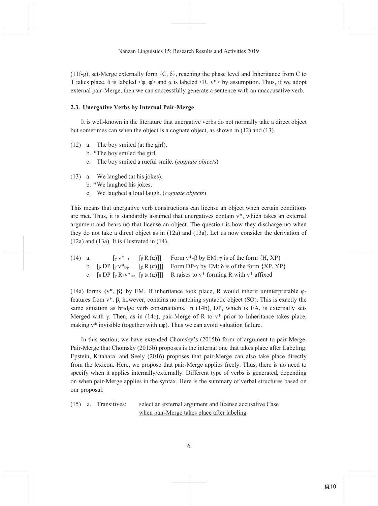(11f-g), set-Merge externally form  $\{C, \delta\}$ , reaching the phase level and Inheritance from C to T takes place.  $\delta$  is labeled  $\langle \varphi, \varphi \rangle$  and  $\alpha$  is labeled  $\langle R, v^* \rangle$  by assumption. Thus, if we adopt external pair-Merge, then we can successfully generate a sentence with an unaccusative verb.

## 2.3. Unergative Verbs by Internal Pair-Merge

It is well-known in the literature that unergative verbs do not normally take a direct object but sometimes can when the object is a cognate object, as shown in (12) and (13).

- $(12)$  a. The boy smiled (at the girl).
	- b. \*The boy smiled the girl.
	- c. The boy smiled a rueful smile. (cognate objects)
- (13) a. We laughed (at his jokes).
	- b. \*We laughed his jokes.
	- c. We laughed a loud laugh. (cognate objects)

This means that unergative verb constructions can license an object when certain conditions are met. Thus, it is standardly assumed that unergatives contain  $v^*$ , which takes an external argument and bears up that license an object. The question is how they discharge up when they do not take a direct object as in  $(12a)$  and  $(13a)$ . Let us now consider the derivation of  $(12a)$  and  $(13a)$ . It is illustrated in  $(14)$ .

| $(14)$ a. |  | $[\gamma v^*_{\mu\varphi}$ $[\beta R(\alpha)]$ Form $v^*$ - $\beta$ by EM: $\gamma$ is of the form $\{H, XP\}$                                                      |
|-----------|--|---------------------------------------------------------------------------------------------------------------------------------------------------------------------|
|           |  | b. $\lceil \delta \text{DP} \rceil_{\gamma} v^*_{\mathfrak{u}\varphi} \rceil_{\beta} R(\alpha)]\rceil$ Form DP- $\gamma$ by EM: $\delta$ is of the form $\{XP,YP\}$ |
|           |  | c. $\lceil \delta \text{DP} \rceil_{\gamma} R - v^* \rceil_{\beta} \text{ tr}(\alpha) ] \rceil$ R raises to $v^*$ forming R with $v^*$ affixed                      |

(14a) forms  $\{v^*, \beta\}$  by EM. If inheritance took place, R would inherit uninterpretable  $\varphi$ features from  $v^*$ .  $\beta$ , however, contains no matching syntactic object (SO). This is exactly the same situation as bridge verb constructions. In (14b), DP, which is EA, is externally set-Merged with  $\gamma$ . Then, as in (14c), pair-Merge of R to  $v^*$  prior to Inheritance takes place, making  $v^*$  invisible (together with  $u\varphi$ ). Thus we can avoid valuation failure.

In this section, we have extended Chomsky's (2015b) form of argument to pair-Merge. Pair-Merge that Chomsky (2015b) proposes is the internal one that takes place after Labeling. Epstein, Kitahara, and Seely (2016) proposes that pair-Merge can also take place directly from the lexicon. Here, we propose that pair-Merge applies freely. Thus, there is no need to specify when it applies internally/externally. Different type of verbs is generated, depending on when pair-Merge applies in the syntax. Here is the summary of verbal structures based on our proposal.

 $(15)$  a. Transitives: select an external argument and license accusative Case when pair-Merge takes place after labeling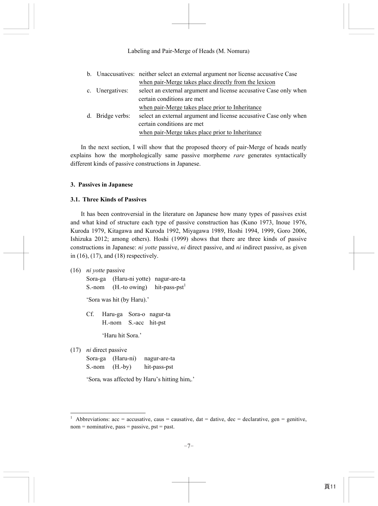|                  | b. Unaccusatives: neither select an external argument nor license accusative Case |
|------------------|-----------------------------------------------------------------------------------|
|                  | when pair-Merge takes place directly from the lexicon                             |
| c. Unergatives:  | select an external argument and license accusative Case only when                 |
|                  | certain conditions are met                                                        |
|                  | when pair-Merge takes place prior to Inheritance                                  |
| d. Bridge verbs: | select an external argument and license accusative Case only when                 |
|                  | certain conditions are met                                                        |
|                  | when pair-Merge takes place prior to Inheritance                                  |

In the next section, I will show that the proposed theory of pair-Merge of heads neatly explains how the morphologically same passive morpheme *rare* generates syntactically different kinds of passive constructions in Japanese.

### **3. Passives in Japanese**

#### **3.1. Three Kinds of Passives**

It has been controversial in the literature on Japanese how many types of passives exist and what kind of structure each type of passive construction has (Kuno 1973, Inoue 1976, Kuroda 1979, Kitagawa and Kuroda 1992, Miyagawa 1989, Hoshi 1994, 1999, Goro 2006, Ishizuka 2012; among others). Hoshi (1999) shows that there are three kinds of passive constructions in Japanese: *ni yotte* passive, *ni* direct passive, and *ni* indirect passive, as given in (16), (17), and (18) respectively.

(16) *ni yotte* passive

Sora-ga (Haru-ni yotte) nagur-are-ta

S.-nom  $(H.-to owing)$  hit-pass-pst<sup>1</sup>

'Sora was hit (by Haru).'

 Cf. Haru-ga Sora-o nagur-ta H.-nom S.-acc hit-pst

'Haru hit Sora.'

(17) *ni* direct passive

-

|                     | Sora-ga (Haru-ni) | nagur-are-ta |
|---------------------|-------------------|--------------|
| $S.$ -nom $(H.-by)$ |                   | hit-pass-pst |

'Sora<sub>i</sub> was affected by Haru's hitting him<sub>i</sub>.'

<sup>1</sup> Abbreviations:  $acc = accusative$ ,  $caus = causative$ ,  $dat = dative$ ,  $dec = declarative$ ,  $gen = genitive$ ,  $nom = nominative, pass = passive, post = past.$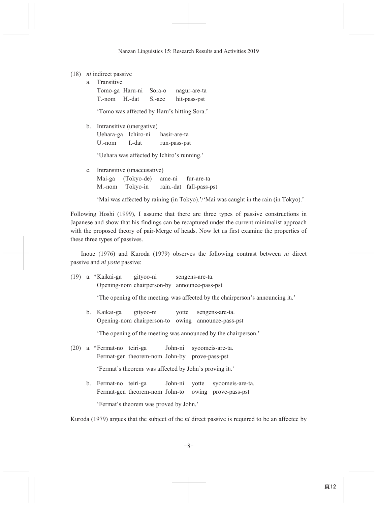### $(18)$  *ni* indirect passive

|  |  | a. Transitive | Tomo-ga Haru-ni Sora-o nagur-are-ta<br>T.-nom H.-dat S.-acc hit-pass-pst |  |  |  |  |  |  |  |
|--|--|---------------|--------------------------------------------------------------------------|--|--|--|--|--|--|--|

'Tomo was affected by Haru's hitting Sora.'

b. Intransitive (unergative)

Uehara-ga Ichiro-ni hasir-are-ta  $U$ -nom  $I.-dat$ run-pass-pst

'Uehara was affected by Ichiro's running.'

c. Intransitive (unaccusative) ame-ni Mai-ga (Tokyo-de) fur-are-ta M.-nom Tokyo-in rain.-dat fall-pass-pst

'Mai was affected by raining (in Tokyo).'/'Mai was caught in the rain (in Tokyo).'

Following Hoshi (1999), I assume that there are three types of passive constructions in Japanese and show that his findings can be recaptured under the current minimalist approach with the proposed theory of pair-Merge of heads. Now let us first examine the properties of these three types of passives.

Inoue (1976) and Kuroda (1979) observes the following contrast between  $ni$  direct passive and *ni votte* passive:

|  | (19) a. *Kaikai-ga gityoo-ni sengens-are-ta.                                                          |  |                                                                                                    |
|--|-------------------------------------------------------------------------------------------------------|--|----------------------------------------------------------------------------------------------------|
|  | Opening-nom chairperson-by announce-pass-pst                                                          |  |                                                                                                    |
|  |                                                                                                       |  | 'The opening of the meeting was affected by the chairperson's announcing it.'                      |
|  |                                                                                                       |  | b. Kaikai-ga gityoo-ni votte sengens-are-ta.<br>Opening-nom chairperson-to owing announce-pass-pst |
|  |                                                                                                       |  | 'The opening of the meeting was announced by the chairperson.'                                     |
|  | (20) a. *Fermat-no teiri-ga John-ni syoomeis-are-ta.<br>Fermat-gen theorem-nom John-by prove-pass-pst |  |                                                                                                    |
|  |                                                                                                       |  | 'Fermat's theorem; was affected by John's proving iti.'                                            |

b. Fermat-no teiri-ga John-ni yotte syoomeis-are-ta. Fermat-gen theorem-nom John-to owing prove-pass-pst 'Fermat's theorem was proved by John.'

Kuroda (1979) argues that the subject of the *ni* direct passive is required to be an affectee by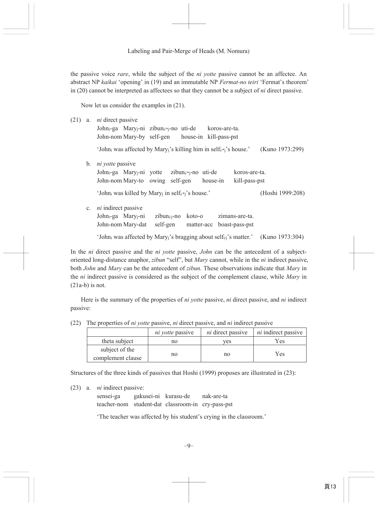the passive voice *rare*, while the subject of the *ni yotte* passive cannot be an affectee. An abstract NP kaikai 'opening' in (19) and an immutable NP Fermat-no teiri 'Fermat's theorem' in  $(20)$  cannot be interpreted as affectees so that they cannot be a subject of *ni* direct passive.

Now let us consider the examples in  $(21)$ .

| (21) | a.             | <i>ni</i> direct passive                                                                            |
|------|----------------|-----------------------------------------------------------------------------------------------------|
|      |                | John <sub>i</sub> -ga Mary <sub>i</sub> -ni zibun <sub>i/*j</sub> -no uti-de koros-are-ta.          |
|      |                | John-nom Mary-by self-gen house-in kill-pass-pst                                                    |
|      |                | 'John; was affected by Mary;'s killing him in self;/*;'s house.'<br>(Kuno 1973:299)                 |
|      | $\mathbf{b}$ . | <i>ni yotte</i> passive                                                                             |
|      |                | John <sub>i</sub> -ga Mary <sub>i</sub> -ni yotte zibun <sub>i/*j</sub> -no uti-de<br>koros-are-ta. |
|      |                | John-nom Mary-to owing self-gen house-in<br>kill-pass-pst                                           |
|      |                | 'Johni was killed by Maryj in selfi/*j's house.'<br>(Hoshi 1999:208)                                |
|      | $\mathbf{c}$ . | <i>ni</i> indirect passive                                                                          |
|      |                | John <sub>i</sub> -ga Mary <sub>i</sub> -ni<br>$zibun_{i/i}$ -no koto-o<br>zimans-are-ta.           |
|      |                | John-nom Mary-dat<br>self-gen matter-acc boast-pass-pst                                             |
|      |                | 'John; was affected by Mary;'s bragging about self <sub>i/i</sub> 's matter.'<br>(Kuno 1973:304)    |

In the *ni* direct passive and the *ni yotte* passive, *John* can be the antecedent of a subjectoriented long-distance anaphor, *zibun* "self", but *Mary* cannot, while in the *ni* indirect passive, both John and Mary can be the antecedent of zibun. These observations indicate that Mary in the *ni* indirect passive is considered as the subject of the complement clause, while Mary in  $(21a-b)$  is not.

Here is the summary of the properties of *ni yotte* passive, *ni* direct passive, and *ni* indirect passive:

|  | (22) The properties of <i>ni yotte</i> passive, <i>ni</i> direct passive, and <i>ni</i> indirect passive |  |  |  |  |  |  |  |
|--|----------------------------------------------------------------------------------------------------------|--|--|--|--|--|--|--|
|--|----------------------------------------------------------------------------------------------------------|--|--|--|--|--|--|--|

|                                     | <i>ni votte</i> passive | <i>ni</i> direct passive | <i>ni</i> indirect passive |
|-------------------------------------|-------------------------|--------------------------|----------------------------|
| theta subject                       | no                      | ves                      | Yes                        |
| subject of the<br>complement clause | no                      | no                       | Yes                        |

Structures of the three kinds of passives that Hoshi (1999) proposes are illustrated in (23):

 $(23)$  a. *ni* indirect passive:

sensei-ga gakusei-ni kurasu-de nak-are-ta teacher-nom student-dat classroom-in cry-pass-pst

'The teacher was affected by his student's crying in the classroom.'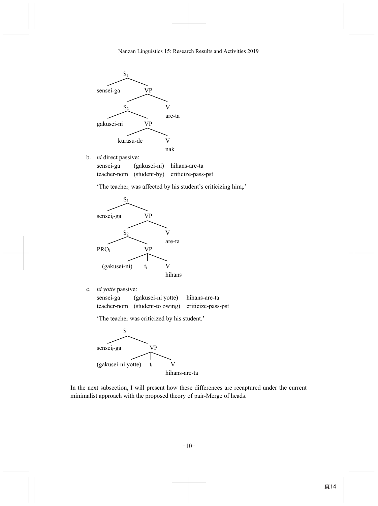

b. *ni* direct passive:

 sensei-ga (gakusei-ni) hihans-are-ta teacher-nom (student-by) criticize-pass-pst

'The teacher<sub>i</sub> was affected by his student's criticizing himi.'



c. *ni yotte* passive:

 sensei-ga (gakusei-ni yotte) hihans-are-ta teacher-nom (student-to owing) criticize-pass-pst

'The teacher was criticized by his student.'



In the next subsection, I will present how these differences are recaptured under the current minimalist approach with the proposed theory of pair-Merge of heads.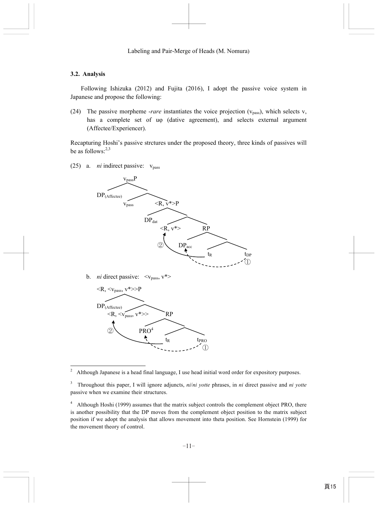## **3.2. Analysis**

Following Ishizuka (2012) and Fujita (2016), I adopt the passive voice system in Japanese and propose the following:

(24) The passive morpheme -*rare* instantiates the voice projection (vpass), which selects v, has a complete set of u<sub>0</sub> (dative agreement), and selects external argument (Affectee/Experiencer).

Recapturing Hoshi's passive strctures under the proposed theory, three kinds of passives will be as follows: $2,3$ 

 $(25)$  a. *ni* indirect passive:  $v_{\text{pass}}$ 



b. *ni* direct passive:  $\langle v_{\text{pass}}, v^* \rangle$ 



 $\frac{1}{2}$ Although Japanese is a head final language, I use head initial word order for expository purposes.

<sup>3</sup> Throughout this paper, I will ignore adjuncts, *ni*/*ni yotte* phrases, in *ni* direct passive and *ni yotte* passive when we examine their structures.

<sup>4</sup> Although Hoshi (1999) assumes that the matrix subject controls the complement object PRO, there is another possibility that the DP moves from the complement object position to the matrix subject position if we adopt the analysis that allows movement into theta position. See Hornstein (1999) for the movement theory of control.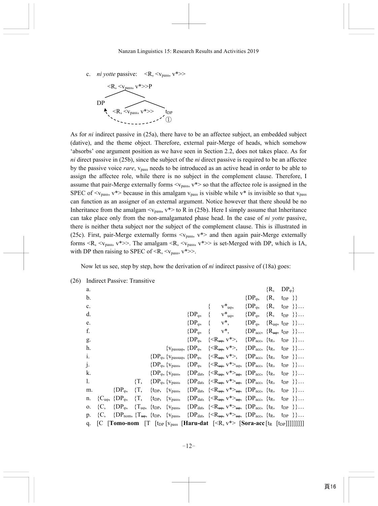c. *ni yotte* passive:  $\langle R, \langle v_{\text{pass}}, v^* \rangle$ 



As for *ni* indirect passive in (25a), there have to be an affectee subject, an embedded subject (dative), and the theme object. Therefore, external pair-Merge of heads, which somehow 'absorbs' one argument position as we have seen in Section 2.2, does not takes place. As for *ni* direct passive in (25b), since the subject of the *ni* direct passive is required to be an affectee by the passive voice *rare*,  $v_{pass}$  needs to be introduced as an active head in order to be able to assign the affectee role, while there is no subject in the complement clause. Therefore, I assume that pair-Merge externally forms  $\langle v_{pass} \rangle$ ,  $v^*$  so that the affectee role is assigned in the SPEC of  $\langle v_{\text{pass}} \rangle$ ,  $v^*$  because in this amalgam  $v_{\text{pass}}$  is visible while  $v^*$  is invisible so that  $v_{\text{pass}}$ can function as an assigner of an external argument. Notice however that there should be no Inheritance from the amalgam  $\langle v_{pass}$ ,  $v^*$  to R in (25b). Here I simply assume that Inheritance can take place only from the non-amalgamated phase head. In the case of *ni yotte* passive, there is neither theta subject nor the subject of the complement clause. This is illustrated in (25c). First, pair-Merge externally forms  $\langle v_{pass} \rangle$ ,  $v^*$  and then again pair-Merge externally forms  $\langle R, \langle v_{pass}, v^{*} \rangle$ . The amalgam  $\langle R, \langle v_{pass}, v^{*} \rangle$  is set-Merged with DP, which is IA, with DP then raising to SPEC of  $\langle R, \langle v_{\text{pass}}, v^* \rangle$ .

Now let us see, step by step, how the derivation of *ni* indirect passive of (18a) goes:

| a.            |        |                                                 |        |                                   |                     |                                                 |                                                                                                                                                    | $\{R,$                     | $DP_{\varphi}\}$ |                    |
|---------------|--------|-------------------------------------------------|--------|-----------------------------------|---------------------|-------------------------------------------------|----------------------------------------------------------------------------------------------------------------------------------------------------|----------------------------|------------------|--------------------|
| $\mathbf b$ . |        |                                                 |        |                                   |                     |                                                 | $\{DP_{\varphi},\}$                                                                                                                                | $\{R, \t_{DP}\}\}\$        |                  |                    |
| c.            |        |                                                 |        |                                   |                     | $V^*_{u\phi}$                                   | $\{DP_{\varphi},\}$                                                                                                                                | $\{R, \}$                  |                  | $\{tpP_1\},\ldots$ |
| d.            |        |                                                 |        |                                   | ${DP_{\varphi}},$   | $V^*_{u\phi}$                                   | $\{DP_{\varphi},\}$                                                                                                                                | $\{R, \text{tpP}\}\}\dots$ |                  |                    |
| e.            |        |                                                 |        |                                   | $\{DP_{\varphi},\}$ | $\{v^*,\}$                                      | $\{DP_{\varphi}, \{R_{\mu\varphi}, t_{DP}\}\}\ldots$                                                                                               |                            |                  |                    |
| f.            |        |                                                 |        |                                   | ${DP_{\omega}},$    | $\{v^*,\}$                                      | $\{DP_{acc}, \{R_{u\phi}, t_{DP}\}\}\dots$                                                                                                         |                            |                  |                    |
| g.            |        |                                                 |        |                                   | $\{DP_{\varphi},\}$ | $\langle R_{\mathfrak{u}\varphi}, v^* \rangle,$ | { $DP_{acc}, \{t_R, t_{DP}\}\}\dots$                                                                                                               |                            |                  |                    |
| h.            |        |                                                 |        |                                   |                     |                                                 | $\{v_{passu\varphi}, \{DP_{\varphi}, \quad \{\leq R_{u\varphi}, v^*\geq, \quad \{DP_{acc}, \{t_R, t_{DP}\}\}\}\dots$                               |                            |                  |                    |
| i.            |        |                                                 |        |                                   |                     |                                                 | $\{DP_{\varphi}, \{v_{passu\varphi}, \{DP_{\varphi}, \ {\langle \langle R_{u\varphi}, v^* \rangle}, \ {\Omega}P_{acc}, \{t_R, t_{DP} \} \} \dots$  |                            |                  |                    |
| j.            |        |                                                 |        | $\{DP_{\varphi}, \{v_{pass},\}\}$ |                     |                                                 | $\{DP_{\varphi}, \ \ {\{\leq R_{\mathfrak{u}\varphi}, \ v^*>_{\mathfrak{u}\varphi}, \ {\{DP_{acc}, \ \{t_R, \ t_{DP}\ \}\}} \dots}$                |                            |                  |                    |
| k.            |        |                                                 |        | $\{DP_{\varphi}, \{v_{pass},\}\}$ |                     |                                                 | $\{DP_{dat}, \ \{\langle \mathcal{R}_{\mathfrak{u}\oplus}, \mathbf{v}^* \rangle_{\mathfrak{u}\oplus}, \ \{DP_{acc}, \ \{t_R, \ t_{DP} \} \} \dots$ |                            |                  |                    |
| 1.            |        |                                                 | $\{T,$ |                                   |                     |                                                 | $\{DP_{\varphi}, \{v_{pass}, \{DP_{dat}, \}\}$                                                                                                     |                            |                  |                    |
| m.            |        | $\{DP_{\varphi},\}$                             | $\{T,$ |                                   |                     |                                                 | { $t_{DP}$ , { $v_{pass}$ , { $DP_{dat}$ , { $\langle R_{\mu\phi}$ , $v^* \rangle_{\mu\phi}$ , { $DP_{acc}$ , { $t_R$ , $t_{DP}$ }}                |                            |                  |                    |
| n.            |        | ${C_{\mathfrak{u}\varphi}}, \; {D}P_{\varphi},$ | $\{T,$ |                                   |                     |                                                 | { $t_{DP}$ , { $v_{pass}$ , { $DP_{dat}$ , { $\langle R_{u\phi}$ , $v^* \rangle_{u\phi}$ , { $DP_{acc}$ , { $t_R$ , $t_{DP}$ }}                    |                            |                  |                    |
| 0.            | łС,    | $\{DP_{\varphi},\}$                             |        |                                   |                     |                                                 | $\{T_{u\varphi}, \ \{tp_P, \ \{v_{pass}, \ \{DP_{dat}, \ \{\leq R_{u\varphi}, v^* \geq_{u\varphi}, \ \{DP_{acc}, \ \{tr, \ t_{DP} \} \}\}\}\}\$    |                            |                  |                    |
| p.            | ${C,}$ |                                                 |        |                                   |                     |                                                 | $\{DP_{nom}, \{T_{\text{top}}, \{t_{DP}, \{v_{pass}, \{DP_{dat}, \{_{\text{up}}, \{DP_{acc}, \{t_R, t_{DP}\}\}\}\}\}\right\}$                      |                            |                  |                    |
| q.            |        |                                                 |        |                                   |                     |                                                 | [C [Tomo-nom [T [t <sub>DP</sub> [ $v_{pass}$ [Haru-dat [ <r, <math="">v^*&gt; [Sora-acc [t<sub>R</sub> [t<sub>DP</sub>]]]]]]]]]</r,>              |                            |                  |                    |

(26) Indirect Passive: Transitive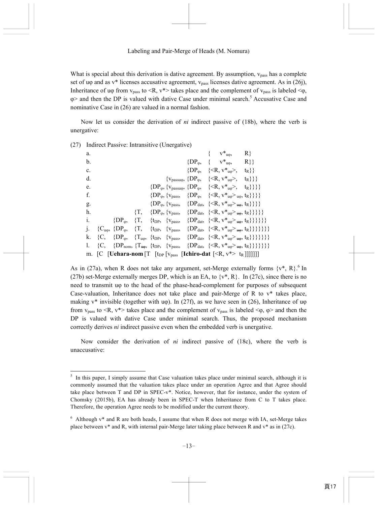What is special about this derivation is dative agreement. By assumption,  $v_{\text{pass}}$  has a complete set of uφ and as v\* licenses accusative agreement, v<sub>pass</sub> licenses dative agreement. As in (26j), Inheritance of uφ from  $v_{pass}$  to  $\langle R, v^* \rangle$  takes place and the complement of  $v_{pass}$  is labeled  $\langle \varphi, \varphi \rangle$  $\varphi$  and then the DP is valued with dative Case under minimal search.<sup>5</sup> Accusative Case and nominative Case in (26) are valued in a normal fashion.

Now let us consider the derivation of *ni* indirect passive of (18b), where the verb is unergative:

| a.             |                |                                            |        |                                   |  | $V^*_{u\varphi},$                                                                                                       | R                                                                                                                          |
|----------------|----------------|--------------------------------------------|--------|-----------------------------------|--|-------------------------------------------------------------------------------------------------------------------------|----------------------------------------------------------------------------------------------------------------------------|
| b.             |                |                                            |        |                                   |  | $\{DP_{\varphi}, \quad \{ \quad v^*_{u\varphi}, \}$                                                                     | $R$ }                                                                                                                      |
| $\mathbf{c}$ . |                |                                            |        |                                   |  | $\{DP_{\varphi}, \quad \{\leq R, v^*_{u\varphi}\}$ ,                                                                    | $\{t_R\}$                                                                                                                  |
| d.             |                |                                            |        |                                   |  | $\{v_{\text{passu}\varphi}, \{DP_{\varphi}, \quad \{\leq R, v^*_{u\varphi}\},\}$                                        | $\{t_R\}$ }                                                                                                                |
| e.             |                |                                            |        |                                   |  | $\{DP_{\varphi}, \{v_{passu\varphi}, \{DP_{\varphi}, \{$                                                                |                                                                                                                            |
| f.             |                |                                            |        | $\{DP_{\varphi}, \{v_{pass},\}\}$ |  | $\{DP_{\varphi}, \{ \langle \mathsf{R}, v^*_{\mathsf{u}\varphi} \rangle_{\mathsf{u}\varphi}, \mathsf{t}_R \} \} \}$     |                                                                                                                            |
| g.             |                |                                            |        |                                   |  | $\{DP_{\varphi}, \{v_{pass}, \{DP_{dat}, \{_{u\varphi}, t_R\}\}\}\}\$                                                   |                                                                                                                            |
| h.             |                |                                            | $\{T,$ |                                   |  | $\{DP_{\varphi}, \{v_{pass}, \{DP_{dat}, \{_{u\varphi}, t_R\}\}\}\}\$                                                   |                                                                                                                            |
| i.             |                | $\{DP_{\varphi},\}$                        | $\{T,$ |                                   |  | { $t_{\rm DP}$ , { $v_{\rm pass}$ , { $DP_{\rm dat}$ , { $\langle R, v^*_{\rm up} \rangle_{\rm up}$ , $t_{\rm R}$ }}}}} |                                                                                                                            |
|                |                | ${C_{\rm u\phi}, \ {\rm D}P_{\phi}, \ \ }$ |        |                                   |  |                                                                                                                         | $\{T, \{tp_P, \{v_{pass}, \{DP_{dat}, \{_{u\phi}, t_R\}\}\}\}\}\}$                                                         |
| k.             | ${C_{\cdot}}$  | ${DP_{\varphi}},$                          |        |                                   |  |                                                                                                                         | ${T_{u\phi}, \{t_{DP}, \{v_{pass}, \{DP_{dat}, \{_{u\phi}, t_R\}\}\}\}}$                                                   |
|                | ${C_{\rm{c}}}$ |                                            |        |                                   |  |                                                                                                                         | $\{DP_{nom}, \{T_{\text{up}}, \{t_{DP}, \{v_{pass}, \{DP_{dat}, \{\langle R, v^*_{u\phi} >_{\text{up}}, t_R\}\}\}\}\}\}\}$ |
|                |                |                                            |        |                                   |  | m. [C [Uehara-nom [T [t <sub>DP</sub> [v <sub>pass</sub> [Ichiro-dat [ <r, v*=""> t<sub>R</sub>]]]]]]]</r,>             |                                                                                                                            |

(27) Indirect Passive: Intransitive (Unergative)

-

As in (27a), when R does not take any argument, set-Merge externally forms  $\{v^*, R\}$ .<sup>6</sup> In (27b) set-Merge externally merges DP, which is an EA, to  $\{v^*, R\}$ . In (27c), since there is no need to transmit uφ to the head of the phase-head-complement for purposes of subsequent Case-valuation, Inheritance does not take place and pair-Merge of R to  $v^*$  takes place, making v\* invisible (together with u $\varphi$ ). In (27f), as we have seen in (26), Inheritance of u $\varphi$ from  $v_{pass}$  to  $\langle R, v^* \rangle$  takes place and the complement of  $v_{pass}$  is labeled  $\langle \varphi, \varphi \rangle$  and then the DP is valued with dative Case under minimal search. Thus, the proposed mechanism correctly derives *ni* indirect passive even when the embedded verb is unergative.

Now consider the derivation of *ni* indirect passive of (18c), where the verb is unaccusative:

<sup>&</sup>lt;sup>5</sup> In this paper, I simply assume that Case valuation takes place under minimal search, although it is commonly assumed that the valuation takes place under an operation Agree and that Agree should take place between T and DP in SPEC-v\*. Notice, however, that for instance, under the system of Chomsky (2015b), EA has already been in SPEC-T when Inheritance from C to T takes place. Therefore, the operation Agree needs to be modified under the current theory.

 $6$  Although v\* and R are both heads, I assume that when R does not merge with IA, set-Merge takes place between v\* and R, with internal pair-Merge later taking place between R and v\* as in (27c).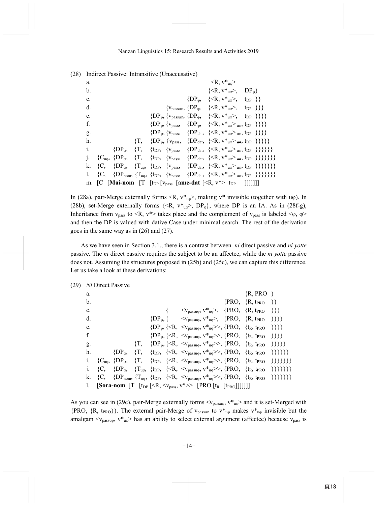| a.             |                |                     |        |  | $\langle R, v^*_{u\varphi} \rangle$                                                                                                                                                |  |
|----------------|----------------|---------------------|--------|--|------------------------------------------------------------------------------------------------------------------------------------------------------------------------------------|--|
| b.             |                |                     |        |  | $\{\langle R, v^*_{u\phi}\rangle, \quad DP_{\phi}\}\$                                                                                                                              |  |
| $\mathbf{c}$ . |                |                     |        |  | $\{DP_{\omega}, \quad \{\leq R, v^*_{u\varphi}\}, \quad t_{DP} \}$                                                                                                                 |  |
| d.             |                |                     |        |  | $\{v_{passu\varphi}, \{DP_{\varphi}, \quad \{\leq R, v^*_{u\varphi}\}, \quad t_{DP} \} \}$                                                                                         |  |
| e.             |                |                     |        |  | $\{DP_{\varphi}, \{v_{passu\varphi}, \{DP_{\varphi}, \{\langle \langle R, v^*_{u\varphi} \rangle, t_{DP} \} \} \}$                                                                 |  |
| f.             |                |                     |        |  | $\{DP_{\varphi}, \{v_{pass}, \{DP_{\varphi}, \{-\}\} \}\}\$                                                                                                                        |  |
| g.             |                |                     |        |  | $\{DP_{\varphi}, \{v_{pass}, \{DP_{dat}, \{\langle \langle R, v^*_{u\varphi} \rangle_{\psi}, t_{DP} \} \} \} \}$                                                                   |  |
| h.             |                |                     | $\{T,$ |  | $\{DP_{\varphi}, \{v_{pass}, \{DP_{dat}, \{_{u\varphi}, t_{DP}\}\}\}\}\}$                                                                                                          |  |
| 1.             |                | $\{DP_{\varphi},\}$ | $\{T,$ |  | {t <sub>DP</sub> , { $v_{pass}$ , { $DP_{dat}$ , { <r, <math="">v_{u\varphi} &gt;_{u\varphi}, t<sub>DP</sub>}}}}}</r,>                                                             |  |
|                |                |                     |        |  | ${C_{u\phi}, \{DP_{\phi}, \{T, \{\text{tpP}, \{\text{v}_\text{pass}, \{\text{DP}_{\text{dat}}, \{\text{R}, \text{v*}_{u\phi} > u_{\phi}, \text{tpP} \}\}\}\}}\}$                   |  |
| k.             | ${C_{\rm{L}}}$ |                     |        |  | $\{DP_{\varphi}, \{T_{\mu\varphi}, \{t_{DP}, \{v_{pass}, \{DP_{\text{dat}}, \{\langle R, v^*_{\mu\varphi} \rangle_{\mu\varphi}, t_{DP} \}\}\}\}\}$                                 |  |
|                |                |                     |        |  | {C, {DP <sub>nom</sub> , {T <sub>up</sub> , {t <sub>DP</sub> , {v <sub>pass</sub> , {DP <sub>dat</sub> , { <r, v<sup="">*u<sub>p</sub>&gt;<sub>up</sub>, t<sub>DP</sub>}}}}}}</r,> |  |
|                |                |                     |        |  | m. [C [Mai-nom [T [t <sub>DP</sub> [v <sub>pass</sub> [ame-dat [ <r, v*=""> t<sub>DP</sub> ]]]]]]</r,>                                                                             |  |

(28) Indirect Passive: Intransitive (Unaccusative)

In (28a), pair-Merge externally forms  $\langle R, v^*_{\mu\omega} \rangle$ , making  $v^*$  invisible (together with u $\varphi$ ). In (28b), set-Merge externally forms  $\{R, v^*_{u\phi} > D P_{\phi}\}$ , where DP is an IA. As in (28f-g), Inheritance from  $v_{pass}$  to  $\langle R, v^* \rangle$  takes place and the complement of  $v_{pass}$  is labeled  $\langle \varphi, \varphi \rangle$ and then the DP is valued with dative Case under minimal search. The rest of the derivation goes in the same way as in (26) and (27).

As we have seen in Section 3.1., there is a contrast between *ni* direct passive and *ni yotte* passive. The *ni* direct passive requires the subject to be an affectee, while the *ni yotte* passive does not. Assuming the structures proposed in (25b) and (25c), we can capture this difference. Let us take a look at these derivations:

|                |                | (29) Ni Direct Passive |           |  |                                                                                                                       |                                                                                                                                                                                 |  |
|----------------|----------------|------------------------|-----------|--|-----------------------------------------------------------------------------------------------------------------------|---------------------------------------------------------------------------------------------------------------------------------------------------------------------------------|--|
| a.             |                |                        |           |  |                                                                                                                       | $\{R, PRO\}$                                                                                                                                                                    |  |
| b.             |                |                        |           |  |                                                                                                                       | $\{PRO, \{R, t_{PRO}\}\}\$                                                                                                                                                      |  |
| $\mathbf{c}$ . |                |                        |           |  |                                                                                                                       | $\langle v_{\text{passu}\varphi}, v^*_{\text{u}\varphi} \rangle, \{PRO, \{R, t_{PRO}\}\}\}\$                                                                                    |  |
| d.             |                |                        |           |  |                                                                                                                       | $\{DP_{\varphi}, \{\quad \langle v_{passu\varphi}, v^*_{u\varphi} \rangle, \ \{PRO, \ \{R, tr_{RO}\}\}\}\}\$                                                                    |  |
| e.             |                |                        |           |  |                                                                                                                       | $\{DP_{\varphi}, \{\langle R, \langle V_{passu\varphi}, v^*_{u\varphi}\rangle\}, \{PRO, \{\text{tr}, \text{trro}\}\}\}\}\$                                                      |  |
| f.             |                |                        |           |  |                                                                                                                       | $\{DP_{\varphi}, \{\langle R, \langle v_{passu\varphi}, v^*u\varphi \rangle\}, \{PRO, \{t_R, t_{PRO}\}\} \}$                                                                    |  |
| g.             |                |                        | $\{T, \}$ |  |                                                                                                                       | $\{DP_{\varphi}, \{\langle R, \langle v_{passu\varphi}, v^*_{u\varphi}\rangle\rangle, \{PRO, \{t_R, t_{PRO}\}\}\}\}\}$                                                          |  |
| h.             |                |                        |           |  |                                                                                                                       | $\{DP_{\varphi}, \{T, \{tpP, \{$                                                                                                                                                |  |
| 1.             |                |                        |           |  |                                                                                                                       | ${C_{u\phi}, {DP_{\phi}, \{T, \{t_{DP}, \{$                                                                                                                                     |  |
|                | ${C_{\rm{c}}}$ |                        |           |  |                                                                                                                       | $\{DP_{\varphi}, \{T_{u\varphi}, \{tp_P, \{\langle R, \langle V_{passu\varphi}, v^*_{u\varphi} \rangle\}, \{PRO, \{tr, tr_{RO}\}\}\}\}\}\}$                                     |  |
|                |                |                        |           |  |                                                                                                                       | k. {C, {DP <sub>nom</sub> , {T <sub>up</sub> , {t <sub>DP</sub> , { <r, <v<sub="">passuφ, v<sup>*</sup><sub>uφ</sub>&gt;&gt;, {PRO, {t<sub>R</sub>, t<sub>PRO</sub>}}}}}}}</r,> |  |
|                |                |                        |           |  | 1. <b>[Sora-nom</b> [T [t <sub>DP</sub> [ <r, <v<sub="">pass, v*&gt; [PRO [t<sub>R</sub> [t<sub>PRO</sub>]]]]]]]</r,> |                                                                                                                                                                                 |  |

As you can see in (29c), pair-Merge externally forms  $\langle v_{\text{passuo}} \rangle$ ,  $v_{\text{two}}$  and it is set-Merged with {PRO, {R, t<sub>PRO</sub>}}. The external pair-Merge of  $v_{passu\varphi}$  to  $v_{u\varphi}^*$  makes  $v_{u\varphi}^*$  invisible but the amalgam  $\langle v_{passu\varphi}, v^*_{u\varphi} \rangle$  has an ability to select external argument (affectee) because  $v_{pass}$  is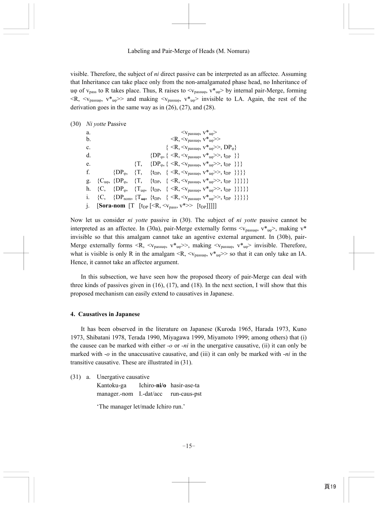visible. Therefore, the subject of *ni* direct passive can be interpreted as an affectee. Assuming that Inheritance can take place only from the non-amalgamated phase head, no Inheritance of uφ of v<sub>pass</sub> to R takes place. Thus, R raises to  $\langle v_{\text{passu}\varphi}, v_{\text{u}\varphi} \rangle$  by internal pair-Merge, forming  $\langle R, \langle v_{\text{passuo}}, v^* \rangle$  and making  $\langle v_{\text{passuo}}, v^* \rangle$  invisible to LA. Again, the rest of the derivation goes in the same way as in (26), (27), and (28).

(30) *Ni yotte* Passive

a.  $\langle V_{\text{massuo}}, V^*_{\text{no}} \rangle$ b.  $\langle R, \langle v_{\text{passuo}}, v^* \rangle$ c.  $\{ \langle R, \langle v_{\text{massuo}}, v^* \rangle, DP_{\omega} \}$ d.  ${DP_{\phi, \{ \langle R, \langle V_{passu\phi}, V^*u\phi \rangle >, t_{DP} \} \}}$ e.  $\{T, \{DP_{\varphi}, \{ \langle R, \langle V_{passuo}, V^*_{uo} \rangle, t_{DP} \} \} \}$ f.  ${DP_{\phi, \{T, \{tpp, \} \le R, \le V_{passu\phi}, V^*u\phi\ge S, tp\}}\}$ g.  ${C_{uo}, \{DP_{\varphi}, \{T, \{\text{tpp}, \{\text{>, \text{tpp}\}\}\}\}}$ h. {C, { $DP_{\varphi}$ , { $T_{\mu\varphi}$ , { $\{tpP$ <sub>,</sub> { $\langle R, \langle v_{pass\mu\varphi} \rangle, v_{\mu\varphi} \rangle$ },  $\{tpP \}$ }}}} i. {C, { $DP_{nom}$ , { $T_{\text{tup}}$ , { $\{ \langle R, \langle v_{passu\varphi}, v^*_{u\varphi} \rangle, t_{DP} \} \}$ }}}} j. **[Sora-nom [T**  $[t_{DP} \leq R, \leq v_{pass}, v^* \geq F[t_{DP}]]$ ]]]

Now let us consider *ni yotte* passive in (30). The subject of *ni yotte* passive cannot be interpreted as an affectee. In (30a), pair-Merge externally forms  $\langle v_{\text{passuo}} \rangle$ ,  $v_{\text{two}}\rangle$ , making  $v^*$ invisible so that this amalgam cannot take an agentive external argument. In (30b), pair-Merge externally forms  $\langle R, \langle v_{\text{passuo}} \rangle, v_{\text{two}} \rangle$ , making  $\langle v_{\text{passuo}} \rangle, v_{\text{two}} \rangle$  invisible. Therefore, what is visible is only R in the amalgam  $\langle R, \langle v_{\text{passuo}}, v^* \rangle$  so that it can only take an IA. Hence, it cannot take an affectee argument.

In this subsection, we have seen how the proposed theory of pair-Merge can deal with three kinds of passives given in  $(16)$ ,  $(17)$ , and  $(18)$ . In the next section, I will show that this proposed mechanism can easily extend to causatives in Japanese.

### **4. Causatives in Japanese**

It has been observed in the literature on Japanese (Kuroda 1965, Harada 1973, Kuno 1973, Shibatani 1978, Terada 1990, Miyagawa 1999, Miyamoto 1999; among others) that (i) the causee can be marked with either *-o* or *-ni* in the unergative causative, (ii) it can only be marked with -*o* in the unaccusative causative, and (iii) it can only be marked with -*ni* in the transitive causative. These are illustrated in (31).

(31) a. Unergative causative

 Kantoku-ga Ichiro-**ni/o** hasir-ase-ta manager.-nom I.-dat/acc run-caus-pst

'The manager let/made Ichiro run.'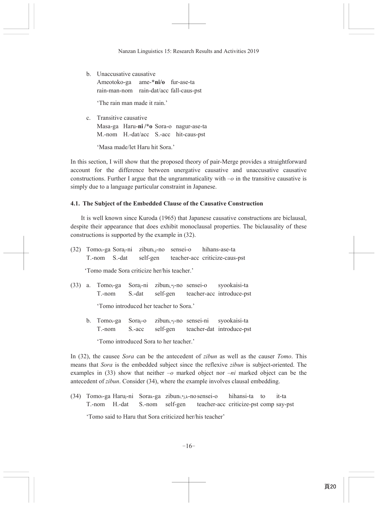**b** Unaccusative causative Ameotoko-ga ame-\*ni/o fur-ase-ta rain-man-nom rain-dat/acc fall-caus-pst

'The rain man made it rain'

c Transitive causative Masa-ga Haru-ni/\*o Sora-o nagur-ase-ta M.-nom H.-dat/acc S.-acc hit-caus-pst

'Masa made/let Haru hit Sora'

In this section, I will show that the proposed theory of pair-Merge provides a straightforward account for the difference between unergative causative and unaccusative causative constructions. Further I argue that the ungrammaticality with  $-o$  in the transitive causative is simply due to a language particular constraint in Japanese.

# 4.1. The Subject of the Embedded Clause of the Causative Construction

It is well known since Kuroda (1965) that Japanese causative constructions are biclausal, despite their appearance that does exhibit monoclausal properties. The biclausality of these constructions is supported by the example in (32).

|  |                                             | (32) Tomo <sub>i</sub> -ga Sora <sub>i</sub> -ni zibun <sub>i.i</sub> -no sensei-o hihans-ase-ta |
|--|---------------------------------------------|--------------------------------------------------------------------------------------------------|
|  |                                             | T.-nom S.-dat self-gen teacher-acc criticize-caus-pst                                            |
|  | 'Tomo made Sora criticize her/his teacher.' |                                                                                                  |

- $(33)$  a. Tomo<sub>i</sub>-ga Sora<sub>i</sub>-ni zibun<sub>i,\*i</sub>-no sensei-o svookaisi-ta  $T - nom$ S.-dat self-gen teacher-acc introduce-pst 'Tomo introduced her teacher to Sora.'
	- zibun<sub>i,\*j-</sub>no sensei-ni syookaisi-ta b. Tomo<sub>i</sub>-ga Sora<sub>i</sub>-o teacher-dat introduce-pst  $T - nom$  $S<sub>-acc</sub>$ self-gen

'Tomo introduced Sora to her teacher.'

In (32), the causee Sora can be the antecedent of zibun as well as the causer Tomo. This means that *Sora* is the embedded subject since the reflexive *zibun* is subject-oriented. The examples in (33) show that neither  $-\omega$  marked object nor  $-ni$  marked object can be the antecedent of zibun. Consider (34), where the example involves clausal embedding.

(34) Tomoi-ga Haruj-ni Sora<sub>k-</sub>ga zibun<sub>i,\*j,k</sub>-no sensei-o hihansi-ta to it-ta self-gen T.-nom H.-dat S.-nom teacher-acc criticize-pst comp say-pst 'Tomo said to Haru that Sora criticized her/his teacher'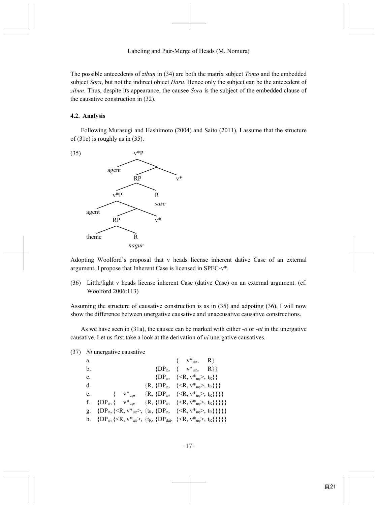The possible antecedents of *zibun* in (34) are both the matrix subject *Tomo* and the embedded subject *Sora*, but not the indirect object *Haru*. Hence only the subject can be the antecedent of *zibun*. Thus, despite its appearance, the causee *Sora* is the subject of the embedded clause of the causative construction in (32).

### **4.2. Analysis**

Following Murasugi and Hashimoto (2004) and Saito (2011), I assume that the structure of (31c) is roughly as in (35).



Adopting Woolford's proposal that v heads license inherent dative Case of an external argument, I propose that Inherent Case is licensed in SPEC-v\*.

(36) Little/light v heads license inherent Case (dative Case) on an external argument. (cf. Woolford 2006:113)

Assuming the structure of causative construction is as in (35) and adpoting (36), I will now show the difference between unergative causative and unaccusative causative constructions.

As we have seen in (31a), the causee can be marked with either *-o* or *-ni* in the unergative causative. Let us first take a look at the derivation of *ni* unergative causatives.

### (37) *Ni* unergative causative

| a.             |                                                                                                                                |  |  | $\{ v^*_{u\varphi}, R \}$                                                                            |  |
|----------------|--------------------------------------------------------------------------------------------------------------------------------|--|--|------------------------------------------------------------------------------------------------------|--|
| b.             |                                                                                                                                |  |  | $\{DP_{\varphi}, \quad \{ \quad v^*_{u\varphi}, \quad R \} \}$                                       |  |
| $\mathbf{c}$ . |                                                                                                                                |  |  | $\{DP_{\varphi}, \{ \langle \mathsf{R}, v^*_{\mathsf{u}\varphi} \rangle, t_{\mathsf{R}} \} \}$       |  |
| d.             |                                                                                                                                |  |  | ${R, {DP_{\varphi}, {(<\mathbb{R}, v_*^*_{\mathfrak{u}\varphi}, t_{\mathbb{R}})}}}$                  |  |
| e.             |                                                                                                                                |  |  | { $v^*_{u\phi}$ , {R, {DP <sub>\p}</sub> , { <r, <math="">v^*_{u\phi}&gt;, <math>t_R</math>}}}}</r,> |  |
| f.             | $\{DP_{\varphi}, \{ v^*_{u\varphi}, \{R, \{DP_{\varphi}, \{\langle R, v^*_{u\varphi}\rangle, t_R\}\}\}\}\$                     |  |  |                                                                                                      |  |
| g.             | $\{DP_{\varphi}, \{\langle R, v^*_{u\varphi}\rangle, \{t_R, \{DP_{\varphi}, \{\langle R, v^*_{u\varphi}\rangle, t_R\}\}\}\}\$  |  |  |                                                                                                      |  |
|                | h. $\{DP_{\varphi}, \{\langle R, v^*_{u\varphi}\rangle, \{t_R, \{DP_{dat}, \{\langle R, v^*_{u\varphi}\rangle, t_R\}\}\}\}\}\$ |  |  |                                                                                                      |  |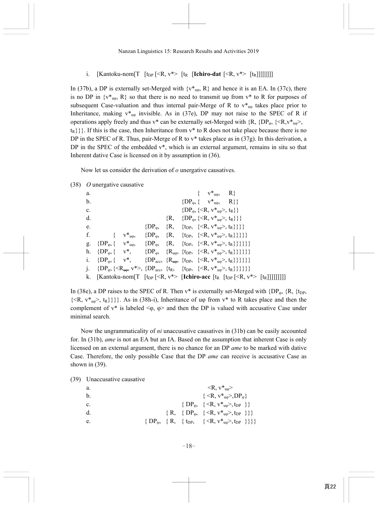i. [Kantoku-nom [T  $[t_{DP} \le R, v^* > [t_R]$  [**Ichiro-dat**  $\le R, v^* > [t_R]]$ ]]]]]]

In (37b), a DP is externally set-Merged with  $\{v^*_{u_0}, R\}$  and hence it is an EA. In (37c), there is no DP in  $\{v^*_{u\omega}, R\}$  so that there is no need to transmit u $\varphi$  from  $v^*$  to R for purposes of subsequent Case-valuation and thus internal pair-Merge of R to  $v^*_{u\phi}$  takes place prior to Inheritance, making  $v^*_{\mu\omega}$  invisible. As in (37e), DP may not raise to the SPEC of R if operations apply freely and thus v\* can be externally set-Merged with  $\{R, \{DP_{\varphi}, \{R, v^*_{\mu\varphi}\}\}$ ,  $\{t_{R}\}\}\.$  If this is the case, then Inheritance from  $v^*$  to R does not take place because there is no DP in the SPEC of R. Thus, pair-Merge of R to  $v^*$  takes place as in (37g). In this derivation, a DP in the SPEC of the embedded  $v^*$ , which is an external argument, remains in situ so that Inherent dative Case is licensed on it by assumption in (36).

Now let us consider the derivation of *o* unergative causatives.

|                | $(38)$ <i>O</i> unergative causative                                                                                                                                                   |                                                                                          |                                                                              |                                                               |                           |                                                                                                                                          |  |
|----------------|----------------------------------------------------------------------------------------------------------------------------------------------------------------------------------------|------------------------------------------------------------------------------------------|------------------------------------------------------------------------------|---------------------------------------------------------------|---------------------------|------------------------------------------------------------------------------------------------------------------------------------------|--|
| a.             |                                                                                                                                                                                        |                                                                                          |                                                                              |                                                               | $\{ v^*_{u\varphi}, R \}$ |                                                                                                                                          |  |
| b.             |                                                                                                                                                                                        |                                                                                          |                                                                              | $\{DP_{\varphi}, \{ v^*_{\mu\varphi}, R \} \}$                |                           |                                                                                                                                          |  |
| $\mathbf{c}$ . |                                                                                                                                                                                        |                                                                                          |                                                                              | $\{DP_{\varphi}, \{\langle R, v^*_{\psi}\rangle, t_R\}\}\$    |                           |                                                                                                                                          |  |
| $d_{\cdot}$    |                                                                                                                                                                                        |                                                                                          |                                                                              | $\{R, \{DP_{\varphi}, \{\leq R, v^*_{\mu\varphi}\}, t_R\}\}\$ |                           |                                                                                                                                          |  |
| e.             |                                                                                                                                                                                        |                                                                                          | $\{DP_{\varphi}, \{R, \{\text{tpP}, \{\leq R, v^*_{u\varphi}>, t_R\}\}\}\}\$ |                                                               |                           |                                                                                                                                          |  |
| f.             |                                                                                                                                                                                        | $\{ v^*_{u\phi}, \{DP_{\phi}, \{R, \{\text{tp}_P, \{\leq R, v^*_{u\phi}>, t_R\}\}\}\}\}$ |                                                                              |                                                               |                           |                                                                                                                                          |  |
|                | g. $\{DP_{\varphi}, \{ v^*_{u\varphi}, \{DP_{\varphi}, \{\mathbf{R}, \{\mathbf{t}_{DP}, \{\langle \mathbf{R}, v^*_{u\varphi} \rangle, \mathbf{t}_{\mathbf{R}}\}\}\}\}\}\}$             |                                                                                          |                                                                              |                                                               |                           |                                                                                                                                          |  |
|                | h. $\{DP_{\varphi}, \{ v^*, \{DP_{\varphi}, \{R_{\mu\varphi}, \{t_{DP}, \{\langle R, v^*, \varphi \rangle, t_R\}\}\}\}\}\}\$                                                           |                                                                                          |                                                                              |                                                               |                           |                                                                                                                                          |  |
|                | i. $\{DP_{\varphi}, \{ v^*, \} \} \} \}$                                                                                                                                               |                                                                                          |                                                                              |                                                               |                           |                                                                                                                                          |  |
| $\mathbf{i}$ . | $\{DP_{\varphi}, \{\langle R_{\mathfrak{u}\varphi}, v^*\rangle, \{DP_{\mathfrak{g}c\mathfrak{c}}, \{t_R, \{\langle tp, \{\langle R, v^*_{\mathfrak{u}\varphi}\rangle, t_R\}\}\}\}\}\}$ |                                                                                          |                                                                              |                                                               |                           |                                                                                                                                          |  |
|                |                                                                                                                                                                                        |                                                                                          |                                                                              |                                                               |                           | k. [Kantoku-nom[T [t <sub>DP</sub> [ <r, v*=""> [<b>Ichiro-acc</b> [t<sub>R</sub> [t<sub>DP</sub> [<r, v*=""> [t<sub>R</sub>]]</r,></r,> |  |

In (38e), a DP raises to the SPEC of R. Then  $v^*$  is externally set-Merged with {DP<sub>φ</sub>, {R, {t<sub>DP</sub>,  $\{, t<sub>R</sub>}}}. As in (38h-i), Inheritance of u $\varphi$  from  $v*$  to R takes place and then the$ complement of  $v^*$  is labeled  $\langle \varphi, \varphi \rangle$  and then the DP is valued with accusative Case under minimal search.

Now the ungrammaticality of *ni* unaccusative causatives in (31b) can be easily accounted for. In (31b), *ame* is not an EA but an IA. Based on the assumption that inherent Case is only licensed on an external argument, there is no chance for an DP *ame* to be marked with dative Case. Therefore, the only possible Case that the DP *ame* can receive is accusative Case as shown in (39).

(39) Unaccusative causative

| a.          | $\langle R, v^*_{\text{u0}} \rangle$                                                             |
|-------------|--------------------------------------------------------------------------------------------------|
| $b_{\cdot}$ | $\{ , DP_0 \}$                                                                                   |
| C.          | { DP <sub><math>\varphi</math></sub> , { <r, <math="">v *_{u\varphi}&gt;, t<sub>DP</sub> }}</r,> |
| d.          | $\{R, \{DP_{\varphi}, \{\langle R, v^*_{u\varphi}\rangle, t_{DP}\}\}\}\$                         |
| e.          | $\{DP_{\varphi}, \{R, \{tp_P, \{, t_{DP}\}\}\}\}\$                                               |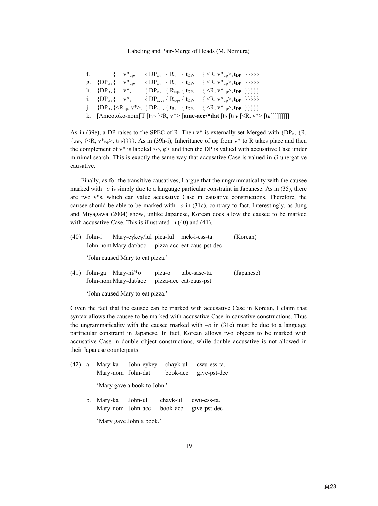## Labeling and Pair-Merge of Heads (M. Nomura)

|  |  |  | f. $\{v^*_{u\phi}, \{\text{DP}_{\phi}, \{\text{R}, \{\text{tp}_P, \{\text{R}, v^*_{u\phi}\}, \text{tp}_P\}\}\}\}$                                            |  |  |
|--|--|--|--------------------------------------------------------------------------------------------------------------------------------------------------------------|--|--|
|  |  |  | g. $\{DP_{\varphi}, \{v^*_{u\varphi}, \{\text{DP}_{\varphi}, \{\text{R}, \{\text{tp}_P, \{\text{R}, v^*_{u\varphi}, \text{tp}_P\}\}\}\}\}\$                  |  |  |
|  |  |  | h. $\{DP_{\varphi}, \{ v^*, \} \{ DP_{\varphi}, \{ R_{\mu\varphi}, \{ t_{DP}, \{ \langle R, v^*_{\mu\varphi} \rangle, t_{DP} \} \} \} \}$                    |  |  |
|  |  |  | i. $\{DP_{\varphi}, \{v^*, \{DP_{\text{acc}}, \{R_{\text{trop}}, \{t_{DP}, \{R,v^*_{\text{u}\varphi}, t_{DP}\}\}\}\}\}\}$                                    |  |  |
|  |  |  | j. $\{DP_{\varphi}, \{\langle R_{\mu\varphi}, v^*\rangle, \{DP_{\text{acc}}, \{t_R, \{\text{tp}_P, \{\langle R, v^*\}_{\mu\varphi}\rangle, t_{DP}\}\}\}\}\}$ |  |  |
|  |  |  | k. [Ameotoko-nom[T [t <sub>DP</sub> [ <r, v*=""> [ame-acc/*dat [t<sub>R</sub> [t<sub>DP</sub> [<r, v*=""> [t<sub>R</sub>]]]]]]]]</r,></r,>                   |  |  |

As in (39e), a DP raises to the SPEC of R. Then  $v^*$  is externally set-Merged with {DP<sub>φ</sub>, {R,  ${\rm tr}_{\rm DP}$ ,  ${\rm tr}_{\rm top}$ ,  ${\rm tr}_{\rm pop}$ }}. As in (39h-i), Inheritance of u $\varphi$  from  $v^*$  to R takes place and then the complement of  $v^*$  is labeled  $\langle \varphi, \varphi \rangle$  and then the DP is valued with accusative Case under minimal search. This is exactly the same way that accusative Case is valued in *O* unergative causative.

Finally, as for the transitive causatives, I argue that the ungrammaticality with the causee marked with  $-\sigma$  is simply due to a language particular constraint in Japanese. As in (35), there are two v\*s, which can value accusative Case in causative constructions. Therefore, the causee should be able to be marked with  $-\sigma$  in (31c), contrary to fact. Interestingly, as Jung and Miyagawa (2004) show, unlike Japanese, Korean does allow the causee to be marked with accusative Case. This is illustrated in (40) and (41).

| (40) | John-i | Mary-eykey/lul pica-lul mek-i-ess-ta. |        |                                                  | (Korean)   |
|------|--------|---------------------------------------|--------|--------------------------------------------------|------------|
|      |        |                                       |        | John-nom Mary-dat/acc pizza-acc eat-caus-pst-dec |            |
|      |        | 'John caused Mary to eat pizza.'      |        |                                                  |            |
| (41) |        | John-ga Mary-ni/*o                    | piza-o | tabe-sase-ta.                                    | (Japanese) |
|      |        | John-nom Mary-dat/acc                 |        | pizza-acc eat-caus-pst                           |            |

'John caused Mary to eat pizza.'

Given the fact that the causee can be marked with accusative Case in Korean, I claim that syntax allows the causee to be marked with accusative Case in causative constructions. Thus the ungrammaticality with the causee marked with  $-o$  in (31c) must be due to a language partricular constraint in Japanese. In fact, Korean allows two objects to be marked with accusative Case in double object constructions, while double accusative is not allowed in their Japanese counterparts.

| (42) | a.      | Mary-nom John-dat                    | Mary-ka John-eykey | chayk-ul<br>book-acc | cwu-ess-ta.<br>give-pst-dec |  |  |  |  |  |
|------|---------|--------------------------------------|--------------------|----------------------|-----------------------------|--|--|--|--|--|
|      |         | 'Mary gave a book to John.'          |                    |                      |                             |  |  |  |  |  |
|      | $b_{-}$ | Mary-ka John-ul<br>Mary-nom John-acc |                    | chayk-ul<br>book-acc | cwu-ess-ta.<br>give-pst-dec |  |  |  |  |  |
|      |         | 'Mary gave John a book.'             |                    |                      |                             |  |  |  |  |  |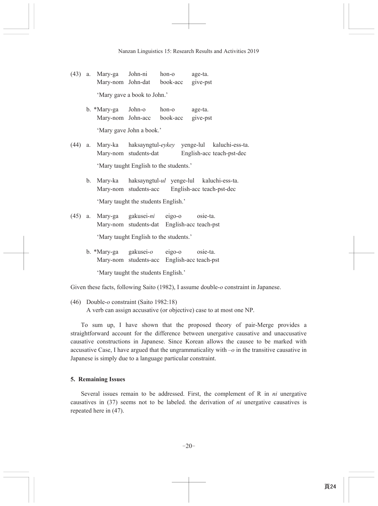- (43) a. Mary-ga John-ni hon-o age-ta. Mary-nom John-dat book-acc give-pst 'Mary gave a book to John.'
	- b. \*Mary-ga John-o hon-o age-ta. Mary-nom John-acc book-acc give-pst 'Mary gave John a book.'

(44) a. Mary-ka haksayngtul-eykey yenge-lul kaluchi-ess-ta. Mary-nom students-dat English-acc teach-pst-dec 'Mary taught English to the students.'

- b. Mary-ka haksayngtul-ul yenge-lul kaluchi-ess-ta. Mary-nom students-acc English-acc teach-pst-dec 'Mary taught the students English.'
- (45) a. Mary-ga gakusei-ni eigo-o osie-ta. Mary-nom students-dat English-acc teach-pst 'Mary taught English to the students.'
	- b. \*Mary-ga gakusei-o eigo-o osie-ta. Mary-nom students-acc English-acc teach-pst

'Mary taught the students English.'

Given these facts, following Saito (1982), I assume double-o constraint in Japanese.

(46) Double-*o* constraint (Saito 1982:18) A verb can assign accusative (or objective) case to at most one NP.

To sum up, I have shown that the proposed theory of pair-Merge provides a straightforward account for the difference between unergative causative and unaccusative causative constructions in Japanese. Since Korean allows the causee to be marked with accusative Case, I have argued that the ungrammaticality with  $-\omega$  in the transitive causative in Japanese is simply due to a language particular constraint.

## **5. Remaining Issues**

Several issues remain to be addressed. First, the complement of R in *ni* unergative causatives in (37) seems not to be labeled, the derivation of *ni* unergative causatives is repeated here in  $(47)$ .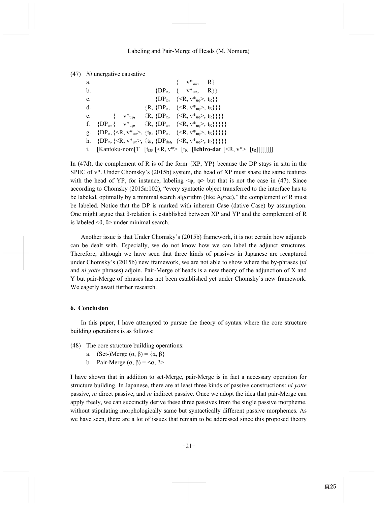| (47)<br>Ni unergative causative |  |
|---------------------------------|--|
|---------------------------------|--|

| a.          |                                                                                                                                   | $\{v^*_{u0}, R\}$                                                    |  |
|-------------|-----------------------------------------------------------------------------------------------------------------------------------|----------------------------------------------------------------------|--|
| b.          |                                                                                                                                   | $\{DP_{\omega}, \{v^*_{\mu\omega}, R\}\}\$                           |  |
| $c_{\cdot}$ |                                                                                                                                   | $\{DP_{\varphi}, \quad \{\leq R, v^*_{u\varphi}, t_R\}\}\$           |  |
| d.          |                                                                                                                                   | $\{R, \{DP_{\omega}, \{-\langle R, v^*_{\omega} \rangle, t_R\}\}\}\$ |  |
|             | e. $\{v^*_{u\omega}, \{R, \{DP_{\omega}, \{\langle R, v^*_{u\omega}\rangle, t_R\}\}\}\}$                                          |                                                                      |  |
|             | f. $\{DP_{\varphi}, \{v^*_{u\varphi}, \{R, \{DP_{\varphi}, \{\langle R, v^*_{u\varphi}\rangle, t_R\}\}\}\}\$                      |                                                                      |  |
|             | g. $\{DP_{\varphi}, \{\langle R, v^*_{u\varphi}\rangle, \{t_R, \{DP_{\varphi}, \{\langle R, v^*_{u\varphi}\rangle, t_R\}\}\}\}\}$ |                                                                      |  |
|             | h. $\{DP_{\varphi}, \{\langle R, v^*_{u\varphi}\rangle, \{t_R, \{DP_{dat}, \{\langle R, v^*_{u\varphi}\rangle, t_R\}\}\}\}\}\$    |                                                                      |  |
|             | i. [Kantoku-nom[T $[t_{DP}]\langle R, v^*\rangle$ [t <sub>R</sub> [Ichiro-dat $\langle R, v^*\rangle$ [t <sub>R</sub> ]]]]]]]     |                                                                      |  |

In (47d), the complement of R is of the form  ${XP,YP}$  because the DP stays in situ in the SPEC of  $v^*$ . Under Chomsky's (2015b) system, the head of XP must share the same features with the head of YP, for instance, labeling  $\leq \varphi$ ,  $\varphi$  but that is not the case in (47). Since according to Chomsky (2015a:102), "every syntactic object transferred to the interface has to be labeled, optimally by a minimal search algorithm (like Agree)," the complement of R must be labeled. Notice that the DP is marked with inherent Case (dative Case) by assumption. One might argue that θ-relation is established between XP and YP and the complement of R is labeled  $\leq$ θ, θ $>$  under minimal search.

Another issue is that Under Chomsky's (2015b) framework, it is not certain how adjuncts can be dealt with. Especially, we do not know how we can label the adjunct structures. Therefore, although we have seen that three kinds of passives in Japanese are recaptured under Chomsky's (2015b) new framework, we are not able to show where the by-phrases (*ni* and *ni yotte* phrases) adjoin. Pair-Merge of heads is a new theory of the adjunction of X and Y but pair-Merge of phrases has not been established yet under Chomsky's new framework. We eagerly await further research.

### **6. Conclusion**

In this paper, I have attempted to pursue the theory of syntax where the core structure building operations is as follows:

- (48) The core structure building operations:
	- a. (Set-)Merge  $(\alpha, \beta) = {\alpha, \beta}$
	- b. Pair-Merge  $(\alpha, \beta) = \langle \alpha, \beta \rangle$

I have shown that in addition to set-Merge, pair-Merge is in fact a necessary operation for structure building. In Japanese, there are at least three kinds of passive constructions: *ni yotte* passive, *ni* direct passive, and *ni* indirect passive. Once we adopt the idea that pair-Merge can apply freely, we can succinctly derive these three passives from the single passive morpheme, without stipulating morphologically same but syntactically different passive morphemes. As we have seen, there are a lot of issues that remain to be addressed since this proposed theory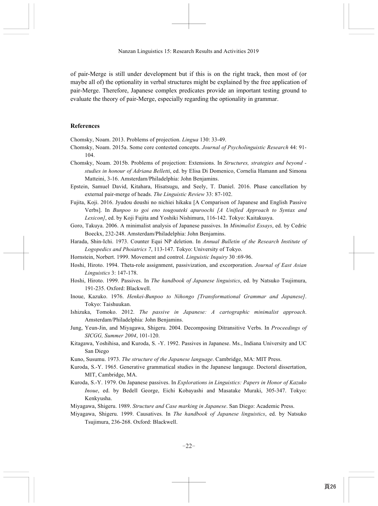of pair-Merge is still under development but if this is on the right track, then most of (or maybe all of) the optionality in verbal structures might be explained by the free application of pair-Merge. Therefore, Japanese complex predicates provide an important testing ground to evaluate the theory of pair-Merge, especially regarding the optionality in grammar.

#### **References**

Chomsky, Noam. 2013. Problems of projection. *Lingua* 130: 33-49.

- Chomsky, Noam. 2015a. Some core contested concepts. *Journal of Psycholinguistic Research* 44: 91- 104.
- Chomsky, Noam. 2015b. Problems of projection: Extensions. In *Structures, strategies and beyond studies in honour of Adriana Belletti*, ed. by Elisa Di Domenico, Cornelia Hamann and Simona Matteini, 3-16. Amsterdam/Philadelphia: John Benjamins.
- Epstein, Samuel David, Kitahara, Hisatsugu, and Seely, T. Daniel. 2016. Phase cancellation by external pair-merge of heads. *The Linguistic Review* 33: 87-102.
- Fujita, Koji. 2016. Jyudou doushi no nichiei hikaku [A Comparison of Japanese and English Passive Verbs]. In *Bunpoo to goi eno tougouteki apuroochi [A Unified Approach to Syntax and Lexicon]*, ed. by Koji Fujita and Yoshiki Nishimura, 116-142. Tokyo: Kaitakusya.
- Goro, Takuya. 2006. A minimalist analysis of Japanese passives. In *Minimalist Essays*, ed. by Cedric Boeckx, 232-248. Amsterdam/Philadelphia: John Benjamins.
- Harada, Shin-Ichi. 1973. Counter Equi NP deletion. In *Annual Bulletin of the Research Institute of Logopedics and Phoiatrics 7*, 113-147. Tokyo: University of Tokyo.
- Hornstein, Norbert. 1999. Movement and control. *Linguistic Inquiry* 30 :69-96.
- Hoshi, Hiroto. 1994. Theta-role assignment, passivization, and excorporation. *Journal of East Asian Linguistics* 3: 147-178.
- Hoshi, Hiroto. 1999. Passives. In *The handbook of Japanese linguistics*, ed. by Natsuko Tsujimura, 191-235. Oxford: Blackwell.
- Inoue, Kazuko. 1976. *Henkei-Bunpoo to Nihongo [Transformational Grammar and Japanese]*. Tokyo: Taishuukan.
- Ishizuka, Tomoko. 2012. *The passive in Japanese: A cartographic minimalist approach*. Amsterdam/Philadelphia: John Benjamins.
- Jung, Yeun-Jin, and Miyagawa, Shigeru. 2004. Decomposing Ditransitive Verbs. In *Proceedings of SICGG, Summer 2004*, 101-120.
- Kitagawa, Yoshihisa, and Kuroda, S. -Y. 1992. Passives in Japanese. Ms., Indiana University and UC San Diego
- Kuno, Susumu. 1973. *The structure of the Japanese language*. Cambridge, MA: MIT Press.
- Kuroda, S.-Y. 1965. Generative grammatical studies in the Japanese langauge. Doctoral dissertation, MIT, Cambridge, MA.
- Kuroda, S.-Y. 1979. On Japanese passives. In *Explorations in Linguistics: Papers in Honor of Kazuko Inoue*, ed. by Bedell George, Eichi Kobayashi and Masatake Muraki, 305-347. Tokyo: Kenkyusha.
- Miyagawa, Shigeru. 1989. *Structure and Case marking in Japanese*. San Diego: Academic Press.
- Miyagawa, Shigeru. 1999. Causatives. In *The handbook of Japanese linguistics*, ed. by Natsuko Tsujimura, 236-268. Oxford: Blackwell.